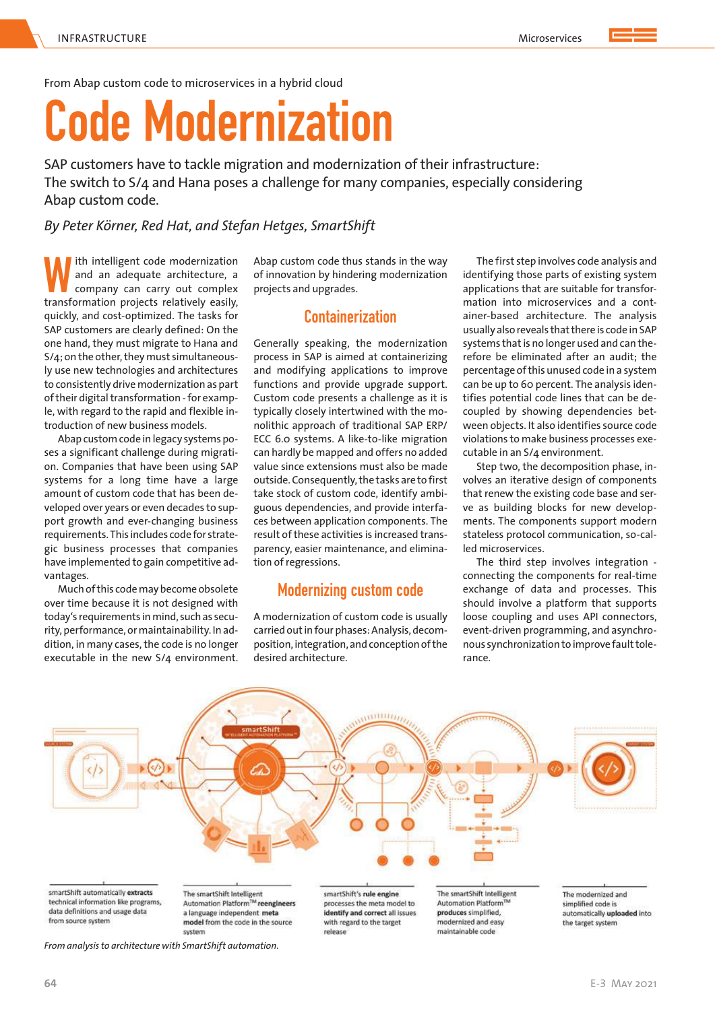From Abap custom code to microservices in a hybrid cloud

# **Code Modernization**

SAP customers have to tackle migration and modernization of their infrastructure: The switch to S/4 and Hana poses a challenge for many companies, especially considering Abap custom code.

*By Peter Körner, Red Hat, and Stefan Hetges, SmartShift*

**W** ith intelligent code modernization and an adequate architecture, a company can carry out complex transformation projects relatively easily, ith intelligent code modernization and an adequate architecture, a company can carry out complex quickly, and cost-optimized. The tasks for SAP customers are clearly defined: On the one hand, they must migrate to Hana and S/4; on the other, they must simultaneously use new technologies and architectures to consistently drive modernization as part of their digital transformation - for example, with regard to the rapid and flexible introduction of new business models.

Abap custom code in legacy systems poses a significant challenge during migration. Companies that have been using SAP systems for a long time have a large amount of custom code that has been developed over years or even decades to support growth and ever-changing business requirements. This includes code for strategic business processes that companies have implemented to gain competitive advantages.

Much of this code may become obsolete over time because it is not designed with today's requirements in mind, such as security, performance, or maintainability. In addition, in many cases, the code is no longer executable in the new S/4 environment.

Abap custom code thus stands in the way of innovation by hindering modernization projects and upgrades.

# **Containerization**

Generally speaking, the modernization process in SAP is aimed at containerizing and modifying applications to improve functions and provide upgrade support. Custom code presents a challenge as it is typically closely intertwined with the monolithic approach of traditional SAP ERP/ ECC 6.0 systems. A like-to-like migration can hardly be mapped and offers no added value since extensions must also be made outside. Consequently, the tasks are to first take stock of custom code, identify ambiguous dependencies, and provide interfaces between application components. The result of these activities is increased transparency, easier maintenance, and elimination of regressions.

# **Modernizing custom code**

A modernization of custom code is usually carried out in four phases: Analysis, decomposition, integration, and conception of the desired architecture.

The first step involves code analysis and identifying those parts of existing system applications that are suitable for transformation into microservices and a container-based architecture. The analysis usually also reveals that there is code in SAP systems that is no longer used and can therefore be eliminated after an audit; the percentage of this unused code in a system can be up to 60 percent. The analysis identifies potential code lines that can be decoupled by showing dependencies between objects. It also identifies source code violations to make business processes executable in an S/4 environment.

Step two, the decomposition phase, involves an iterative design of components that renew the existing code base and serve as building blocks for new developments. The components support modern stateless protocol communication, so-called microservices.

The third step involves integration connecting the components for real-time exchange of data and processes. This should involve a platform that supports loose coupling and uses API connectors, event-driven programming, and asynchronous synchronization to improve fault tolerance.

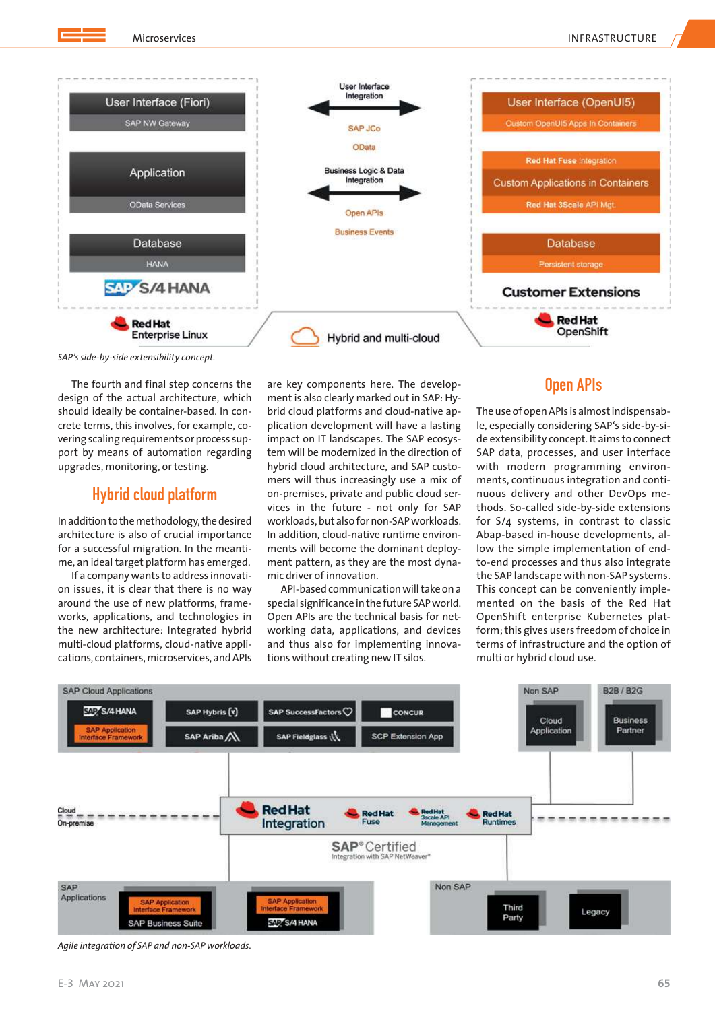

*SAP's side-by-side extensibility concept.*

The fourth and final step concerns the design of the actual architecture, which should ideally be container-based. In concrete terms, this involves, for example, covering scaling requirements or process support by means of automation regarding upgrades, monitoring, or testing.

### **Hybrid cloud platform**

In addition to the methodology, the desired architecture is also of crucial importance for a successful migration. In the meantime, an ideal target platform has emerged.

If a company wants to address innovation issues, it is clear that there is no way around the use of new platforms, frameworks, applications, and technologies in the new architecture: Integrated hybrid multi-cloud platforms, cloud-native applications, containers, microservices, and APIs are key components here. The development is also clearly marked out in SAP: Hybrid cloud platforms and cloud-native application development will have a lasting impact on IT landscapes. The SAP ecosystem will be modernized in the direction of hybrid cloud architecture, and SAP customers will thus increasingly use a mix of on-premises, private and public cloud services in the future - not only for SAP workloads, but also for non-SAP workloads. In addition, cloud-native runtime environments will become the dominant deployment pattern, as they are the most dynamic driver of innovation.

API-based communication will take on a special significance in the future SAP world. Open APIs are the technical basis for networking data, applications, and devices and thus also for implementing innovations without creating new IT silos.

## **Open APIs**

The use of open APIs is almost indispensable, especially considering SAP's side-by-side extensibility concept. It aims to connect SAP data, processes, and user interface with modern programming environments, continuous integration and continuous delivery and other DevOps methods. So-called side-by-side extensions for S/4 systems, in contrast to classic Abap-based in-house developments, allow the simple implementation of endto-end processes and thus also integrate the SAP landscape with non-SAP systems. This concept can be conveniently implemented on the basis of the Red Hat OpenShift enterprise Kubernetes platform; this gives users freedom of choice in terms of infrastructure and the option of multi or hybrid cloud use.



*Agile integration of SAP and non-SAP workloads.*